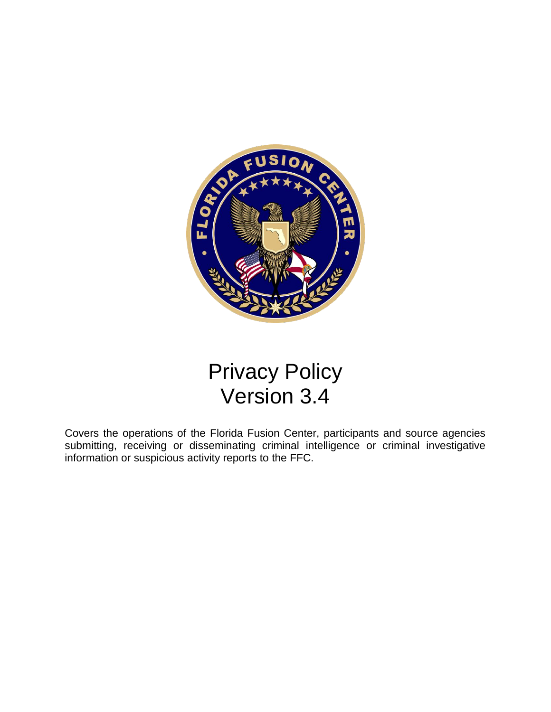

# Privacy Policy Version 3.4

Covers the operations of the Florida Fusion Center, participants and source agencies submitting, receiving or disseminating criminal intelligence or criminal investigative information or suspicious activity reports to the FFC.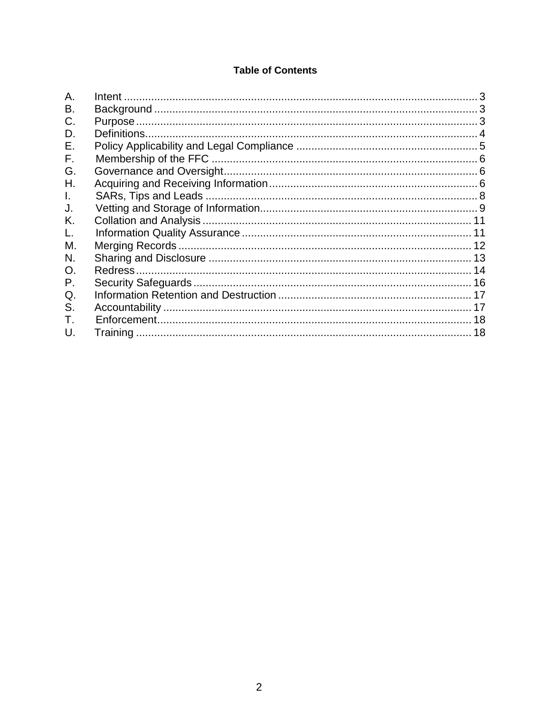# **Table of Contents**

| Α.             |  |
|----------------|--|
| В.             |  |
| C.             |  |
| D.             |  |
| Е.             |  |
| F.             |  |
| G.             |  |
| Η.             |  |
| L.             |  |
| J.             |  |
| K.             |  |
| L.             |  |
| М.             |  |
| N.             |  |
| O <sub>1</sub> |  |
| Ρ.             |  |
| Q.             |  |
| S.             |  |
| T.             |  |
| U.             |  |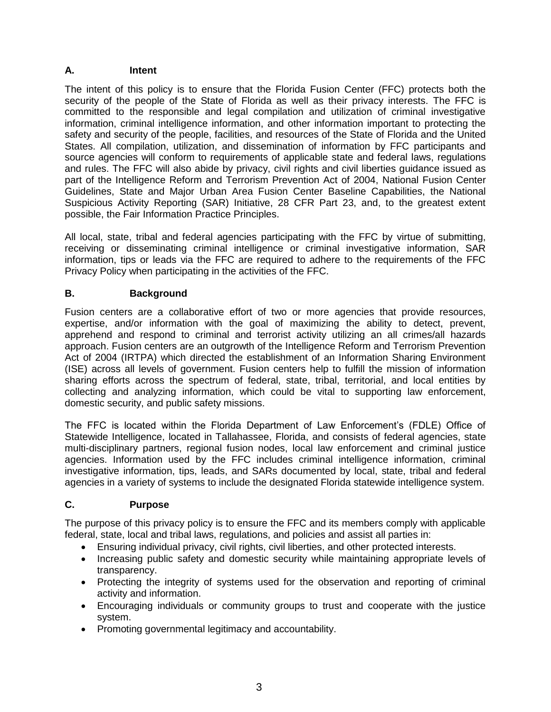## <span id="page-2-0"></span>**A. Intent**

The intent of this policy is to ensure that the Florida Fusion Center (FFC) protects both the security of the people of the State of Florida as well as their privacy interests. The FFC is committed to the responsible and legal compilation and utilization of criminal investigative information, criminal intelligence information, and other information important to protecting the safety and security of the people, facilities, and resources of the State of Florida and the United States. All compilation, utilization, and dissemination of information by FFC participants and source agencies will conform to requirements of applicable state and federal laws, regulations and rules. The FFC will also abide by privacy, civil rights and civil liberties guidance issued as part of the Intelligence Reform and Terrorism Prevention Act of 2004, National Fusion Center Guidelines, State and Major Urban Area Fusion Center Baseline Capabilities, the National Suspicious Activity Reporting (SAR) Initiative, 28 CFR Part 23, and, to the greatest extent possible, the Fair Information Practice Principles.

All local, state, tribal and federal agencies participating with the FFC by virtue of submitting, receiving or disseminating criminal intelligence or criminal investigative information, SAR information, tips or leads via the FFC are required to adhere to the requirements of the FFC Privacy Policy when participating in the activities of the FFC.

# <span id="page-2-1"></span>**B. Background**

Fusion centers are a collaborative effort of two or more agencies that provide resources, expertise, and/or information with the goal of maximizing the ability to detect, prevent, apprehend and respond to criminal and terrorist activity utilizing an all crimes/all hazards approach. Fusion centers are an outgrowth of the Intelligence Reform and Terrorism Prevention Act of 2004 (IRTPA) which directed the establishment of an Information Sharing Environment (ISE) across all levels of government. Fusion centers help to fulfill the mission of information sharing efforts across the spectrum of federal, state, tribal, territorial, and local entities by collecting and analyzing information, which could be vital to supporting law enforcement, domestic security, and public safety missions.

The FFC is located within the Florida Department of Law Enforcement's (FDLE) Office of Statewide Intelligence, located in Tallahassee, Florida, and consists of federal agencies, state multi-disciplinary partners, regional fusion nodes, local law enforcement and criminal justice agencies. Information used by the FFC includes criminal intelligence information, criminal investigative information, tips, leads, and SARs documented by local, state, tribal and federal agencies in a variety of systems to include the designated Florida statewide intelligence system.

# <span id="page-2-2"></span>**C. Purpose**

The purpose of this privacy policy is to ensure the FFC and its members comply with applicable federal, state, local and tribal laws, regulations, and policies and assist all parties in:

- Ensuring individual privacy, civil rights, civil liberties, and other protected interests.
- Increasing public safety and domestic security while maintaining appropriate levels of transparency.
- Protecting the integrity of systems used for the observation and reporting of criminal activity and information.
- Encouraging individuals or community groups to trust and cooperate with the justice system.
- Promoting governmental legitimacy and accountability.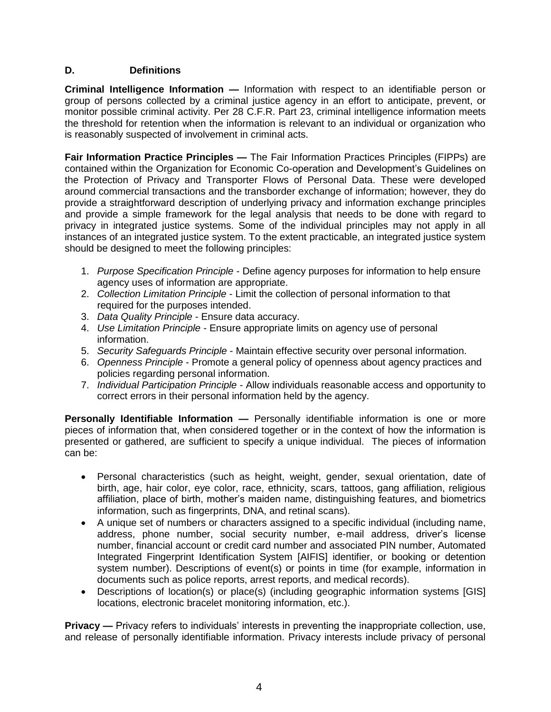## <span id="page-3-0"></span>**D. Definitions**

**Criminal Intelligence Information —** Information with respect to an identifiable person or group of persons collected by a criminal justice agency in an effort to anticipate, prevent, or monitor possible criminal activity. Per 28 C.F.R. Part 23, criminal intelligence information meets the threshold for retention when the information is relevant to an individual or organization who is reasonably suspected of involvement in criminal acts.

**Fair Information Practice Principles —** The Fair Information Practices Principles (FIPPs) are contained within the Organization for Economic Co-operation and Development's Guidelines on the Protection of Privacy and Transporter Flows of Personal Data. These were developed around commercial transactions and the transborder exchange of information; however, they do provide a straightforward description of underlying privacy and information exchange principles and provide a simple framework for the legal analysis that needs to be done with regard to privacy in integrated justice systems. Some of the individual principles may not apply in all instances of an integrated justice system. To the extent practicable, an integrated justice system should be designed to meet the following principles:

- 1. *Purpose Specification Principle* Define agency purposes for information to help ensure agency uses of information are appropriate.
- 2. *Collection Limitation Principle* Limit the collection of personal information to that required for the purposes intended.
- 3. *Data Quality Principle* Ensure data accuracy.
- 4. *Use Limitation Principle* Ensure appropriate limits on agency use of personal information.
- 5. *Security Safeguards Principle* Maintain effective security over personal information.
- 6. *Openness Principle* Promote a general policy of openness about agency practices and policies regarding personal information.
- 7. *Individual Participation Principle* Allow individuals reasonable access and opportunity to correct errors in their personal information held by the agency.

**Personally Identifiable Information —** Personally identifiable information is one or more pieces of information that, when considered together or in the context of how the information is presented or gathered, are sufficient to specify a unique individual. The pieces of information can be:

- Personal characteristics (such as height, weight, gender, sexual orientation, date of birth, age, hair color, eye color, race, ethnicity, scars, tattoos, gang affiliation, religious affiliation, place of birth, mother's maiden name, distinguishing features, and biometrics information, such as fingerprints, DNA, and retinal scans).
- A unique set of numbers or characters assigned to a specific individual (including name, address, phone number, social security number, e-mail address, driver's license number, financial account or credit card number and associated PIN number, Automated Integrated Fingerprint Identification System [AIFIS] identifier, or booking or detention system number). Descriptions of event(s) or points in time (for example, information in documents such as police reports, arrest reports, and medical records).
- Descriptions of location(s) or place(s) (including geographic information systems [GIS] locations, electronic bracelet monitoring information, etc.).

**Privacy —** Privacy refers to individuals' interests in preventing the inappropriate collection, use, and release of personally identifiable information. Privacy interests include privacy of personal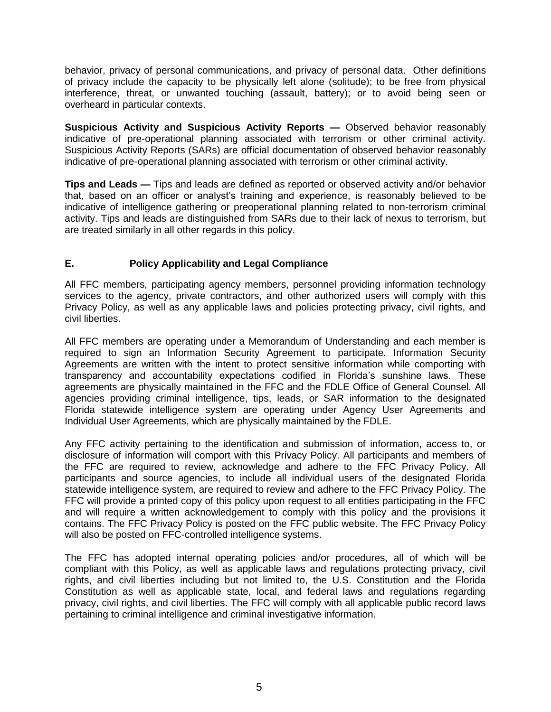behavior, privacy of personal communications, and privacy of personal data. Other definitions of privacy include the capacity to be physically left alone (solitude); to be free from physical interference, threat, or unwanted touching (assault, battery); or to avoid being seen or overheard in particular contexts.

**Suspicious Activity and Suspicious Activity Reports —** Observed behavior reasonably indicative of pre-operational planning associated with terrorism or other criminal activity. Suspicious Activity Reports (SARs) are official documentation of observed behavior reasonably indicative of pre-operational planning associated with terrorism or other criminal activity.

**Tips and Leads —** Tips and leads are defined as reported or observed activity and/or behavior that, based on an officer or analyst's training and experience, is reasonably believed to be indicative of intelligence gathering or preoperational planning related to non-terrorism criminal activity. Tips and leads are distinguished from SARs due to their lack of nexus to terrorism, but are treated similarly in all other regards in this policy.

## <span id="page-4-0"></span>**E. Policy Applicability and Legal Compliance**

All FFC members, participating agency members, personnel providing information technology services to the agency, private contractors, and other authorized users will comply with this Privacy Policy, as well as any applicable laws and policies protecting privacy, civil rights, and civil liberties.

All FFC members are operating under a Memorandum of Understanding and each member is required to sign an Information Security Agreement to participate. Information Security Agreements are written with the intent to protect sensitive information while comporting with transparency and accountability expectations codified in Florida's sunshine laws. These agreements are physically maintained in the FFC and the FDLE Office of General Counsel. All agencies providing criminal intelligence, tips, leads, or SAR information to the designated Florida statewide intelligence system are operating under Agency User Agreements and Individual User Agreements, which are physically maintained by the FDLE.

Any FFC activity pertaining to the identification and submission of information, access to, or disclosure of information will comport with this Privacy Policy. All participants and members of the FFC are required to review, acknowledge and adhere to the FFC Privacy Policy. All participants and source agencies, to include all individual users of the designated Florida statewide intelligence system, are required to review and adhere to the FFC Privacy Policy. The FFC will provide a printed copy of this policy upon request to all entities participating in the FFC and will require a written acknowledgement to comply with this policy and the provisions it contains. The FFC Privacy Policy is posted on the FFC public website. The FFC Privacy Policy will also be posted on FFC-controlled intelligence systems.

The FFC has adopted internal operating policies and/or procedures, all of which will be compliant with this Policy, as well as applicable laws and regulations protecting privacy, civil rights, and civil liberties including but not limited to, the U.S. Constitution and the Florida Constitution as well as applicable state, local, and federal laws and regulations regarding privacy, civil rights, and civil liberties. The FFC will comply with all applicable public record laws pertaining to criminal intelligence and criminal investigative information.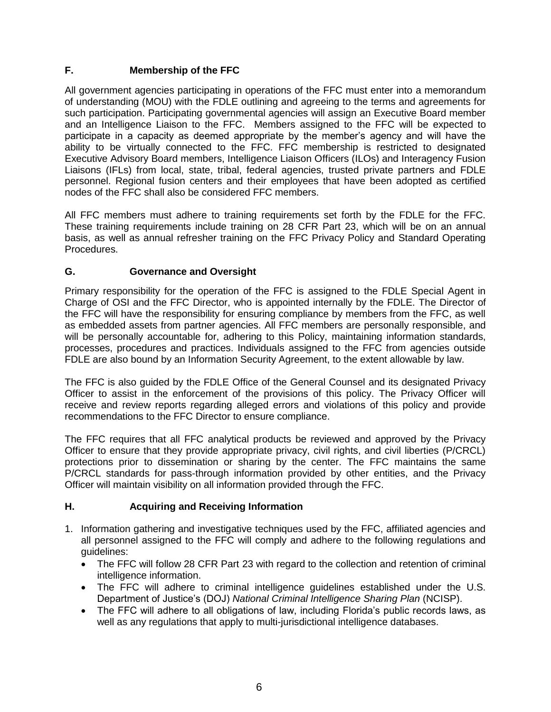# <span id="page-5-0"></span>**F. Membership of the FFC**

All government agencies participating in operations of the FFC must enter into a memorandum of understanding (MOU) with the FDLE outlining and agreeing to the terms and agreements for such participation. Participating governmental agencies will assign an Executive Board member and an Intelligence Liaison to the FFC. Members assigned to the FFC will be expected to participate in a capacity as deemed appropriate by the member's agency and will have the ability to be virtually connected to the FFC. FFC membership is restricted to designated Executive Advisory Board members, Intelligence Liaison Officers (ILOs) and Interagency Fusion Liaisons (IFLs) from local, state, tribal, federal agencies, trusted private partners and FDLE personnel. Regional fusion centers and their employees that have been adopted as certified nodes of the FFC shall also be considered FFC members.

All FFC members must adhere to training requirements set forth by the FDLE for the FFC. These training requirements include training on 28 CFR Part 23, which will be on an annual basis, as well as annual refresher training on the FFC Privacy Policy and Standard Operating Procedures.

# <span id="page-5-1"></span>**G. Governance and Oversight**

Primary responsibility for the operation of the FFC is assigned to the FDLE Special Agent in Charge of OSI and the FFC Director, who is appointed internally by the FDLE. The Director of the FFC will have the responsibility for ensuring compliance by members from the FFC, as well as embedded assets from partner agencies. All FFC members are personally responsible, and will be personally accountable for, adhering to this Policy, maintaining information standards, processes, procedures and practices. Individuals assigned to the FFC from agencies outside FDLE are also bound by an Information Security Agreement, to the extent allowable by law.

The FFC is also guided by the FDLE Office of the General Counsel and its designated Privacy Officer to assist in the enforcement of the provisions of this policy. The Privacy Officer will receive and review reports regarding alleged errors and violations of this policy and provide recommendations to the FFC Director to ensure compliance.

The FFC requires that all FFC analytical products be reviewed and approved by the Privacy Officer to ensure that they provide appropriate privacy, civil rights, and civil liberties (P/CRCL) protections prior to dissemination or sharing by the center. The FFC maintains the same P/CRCL standards for pass-through information provided by other entities, and the Privacy Officer will maintain visibility on all information provided through the FFC.

# <span id="page-5-2"></span>**H. Acquiring and Receiving Information**

- 1. Information gathering and investigative techniques used by the FFC, affiliated agencies and all personnel assigned to the FFC will comply and adhere to the following regulations and guidelines:
	- The FFC will follow 28 CFR Part 23 with regard to the collection and retention of criminal intelligence information.
	- The FFC will adhere to criminal intelligence guidelines established under the U.S. Department of Justice's (DOJ) *National Criminal Intelligence Sharing Plan* (NCISP).
	- The FFC will adhere to all obligations of law, including Florida's public records laws, as well as any regulations that apply to multi-jurisdictional intelligence databases.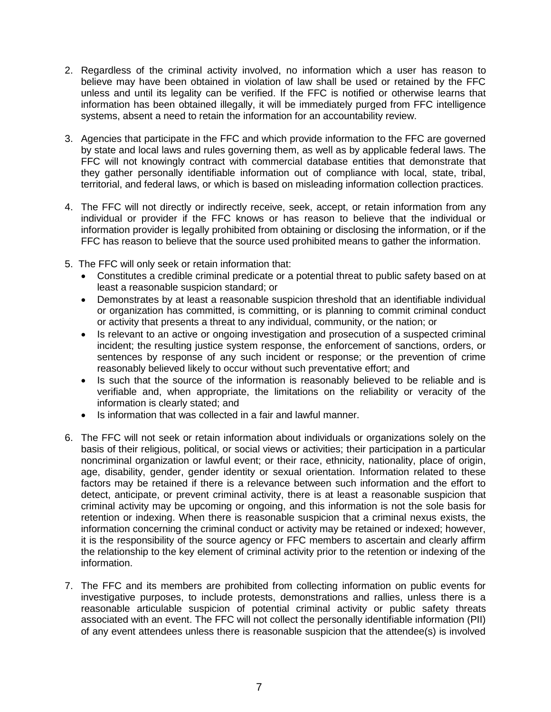- 2. Regardless of the criminal activity involved, no information which a user has reason to believe may have been obtained in violation of law shall be used or retained by the FFC unless and until its legality can be verified. If the FFC is notified or otherwise learns that information has been obtained illegally, it will be immediately purged from FFC intelligence systems, absent a need to retain the information for an accountability review.
- 3. Agencies that participate in the FFC and which provide information to the FFC are governed by state and local laws and rules governing them, as well as by applicable federal laws. The FFC will not knowingly contract with commercial database entities that demonstrate that they gather personally identifiable information out of compliance with local, state, tribal, territorial, and federal laws, or which is based on misleading information collection practices.
- 4. The FFC will not directly or indirectly receive, seek, accept, or retain information from any individual or provider if the FFC knows or has reason to believe that the individual or information provider is legally prohibited from obtaining or disclosing the information, or if the FFC has reason to believe that the source used prohibited means to gather the information.
- 5. The FFC will only seek or retain information that:
	- Constitutes a credible criminal predicate or a potential threat to public safety based on at least a reasonable suspicion standard; or
	- Demonstrates by at least a reasonable suspicion threshold that an identifiable individual or organization has committed, is committing, or is planning to commit criminal conduct or activity that presents a threat to any individual, community, or the nation; or
	- Is relevant to an active or ongoing investigation and prosecution of a suspected criminal incident; the resulting justice system response, the enforcement of sanctions, orders, or sentences by response of any such incident or response; or the prevention of crime reasonably believed likely to occur without such preventative effort; and
	- Is such that the source of the information is reasonably believed to be reliable and is verifiable and, when appropriate, the limitations on the reliability or veracity of the information is clearly stated; and
	- Is information that was collected in a fair and lawful manner.
- 6. The FFC will not seek or retain information about individuals or organizations solely on the basis of their religious, political, or social views or activities; their participation in a particular noncriminal organization or lawful event; or their race, ethnicity, nationality, place of origin, age, disability, gender, gender identity or sexual orientation. Information related to these factors may be retained if there is a relevance between such information and the effort to detect, anticipate, or prevent criminal activity, there is at least a reasonable suspicion that criminal activity may be upcoming or ongoing, and this information is not the sole basis for retention or indexing. When there is reasonable suspicion that a criminal nexus exists, the information concerning the criminal conduct or activity may be retained or indexed; however, it is the responsibility of the source agency or FFC members to ascertain and clearly affirm the relationship to the key element of criminal activity prior to the retention or indexing of the information.
- 7. The FFC and its members are prohibited from collecting information on public events for investigative purposes, to include protests, demonstrations and rallies, unless there is a reasonable articulable suspicion of potential criminal activity or public safety threats associated with an event. The FFC will not collect the personally identifiable information (PII) of any event attendees unless there is reasonable suspicion that the attendee(s) is involved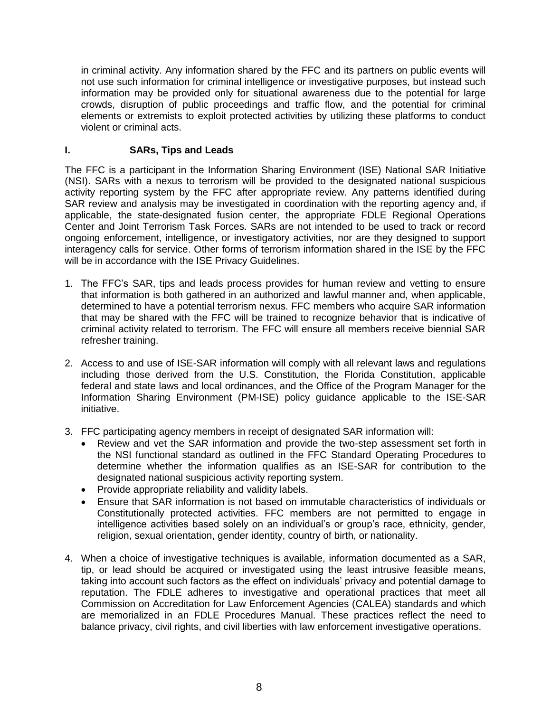in criminal activity. Any information shared by the FFC and its partners on public events will not use such information for criminal intelligence or investigative purposes, but instead such information may be provided only for situational awareness due to the potential for large crowds, disruption of public proceedings and traffic flow, and the potential for criminal elements or extremists to exploit protected activities by utilizing these platforms to conduct violent or criminal acts.

## <span id="page-7-0"></span>**I. SARs, Tips and Leads**

The FFC is a participant in the Information Sharing Environment (ISE) National SAR Initiative (NSI). SARs with a nexus to terrorism will be provided to the designated national suspicious activity reporting system by the FFC after appropriate review. Any patterns identified during SAR review and analysis may be investigated in coordination with the reporting agency and, if applicable, the state-designated fusion center, the appropriate FDLE Regional Operations Center and Joint Terrorism Task Forces. SARs are not intended to be used to track or record ongoing enforcement, intelligence, or investigatory activities, nor are they designed to support interagency calls for service. Other forms of terrorism information shared in the ISE by the FFC will be in accordance with the ISE Privacy Guidelines.

- 1. The FFC's SAR, tips and leads process provides for human review and vetting to ensure that information is both gathered in an authorized and lawful manner and, when applicable, determined to have a potential terrorism nexus. FFC members who acquire SAR information that may be shared with the FFC will be trained to recognize behavior that is indicative of criminal activity related to terrorism. The FFC will ensure all members receive biennial SAR refresher training.
- 2. Access to and use of ISE-SAR information will comply with all relevant laws and regulations including those derived from the U.S. Constitution, the Florida Constitution, applicable federal and state laws and local ordinances, and the Office of the Program Manager for the Information Sharing Environment (PM-ISE) policy guidance applicable to the ISE-SAR initiative.
- 3. FFC participating agency members in receipt of designated SAR information will:
	- Review and vet the SAR information and provide the two-step assessment set forth in the NSI functional standard as outlined in the FFC Standard Operating Procedures to determine whether the information qualifies as an ISE-SAR for contribution to the designated national suspicious activity reporting system.
	- Provide appropriate reliability and validity labels.
	- Ensure that SAR information is not based on immutable characteristics of individuals or Constitutionally protected activities. FFC members are not permitted to engage in intelligence activities based solely on an individual's or group's race, ethnicity, gender, religion, sexual orientation, gender identity, country of birth, or nationality.
- 4. When a choice of investigative techniques is available, information documented as a SAR, tip, or lead should be acquired or investigated using the least intrusive feasible means, taking into account such factors as the effect on individuals' privacy and potential damage to reputation. The FDLE adheres to investigative and operational practices that meet all Commission on Accreditation for Law Enforcement Agencies (CALEA) standards and which are memorialized in an FDLE Procedures Manual. These practices reflect the need to balance privacy, civil rights, and civil liberties with law enforcement investigative operations.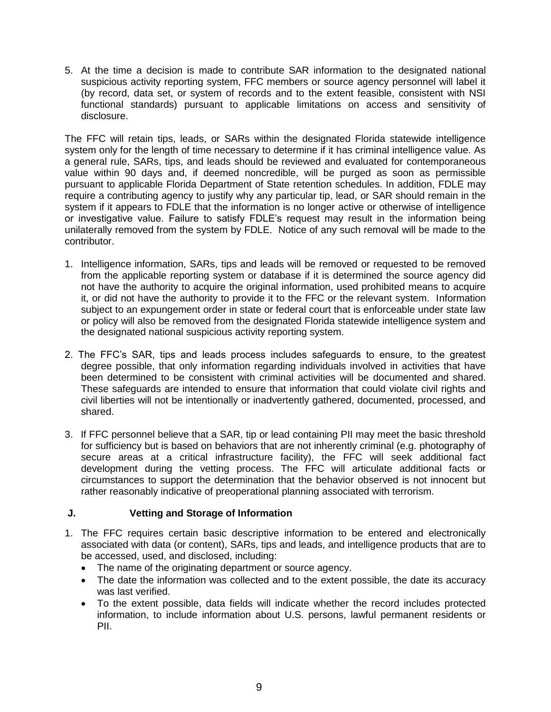5. At the time a decision is made to contribute SAR information to the designated national suspicious activity reporting system, FFC members or source agency personnel will label it (by record, data set, or system of records and to the extent feasible, consistent with NSI functional standards) pursuant to applicable limitations on access and sensitivity of disclosure.

The FFC will retain tips, leads, or SARs within the designated Florida statewide intelligence system only for the length of time necessary to determine if it has criminal intelligence value. As a general rule, SARs, tips, and leads should be reviewed and evaluated for contemporaneous value within 90 days and, if deemed noncredible, will be purged as soon as permissible pursuant to applicable Florida Department of State retention schedules. In addition, FDLE may require a contributing agency to justify why any particular tip, lead, or SAR should remain in the system if it appears to FDLE that the information is no longer active or otherwise of intelligence or investigative value. Failure to satisfy FDLE's request may result in the information being unilaterally removed from the system by FDLE. Notice of any such removal will be made to the contributor.

- 1. Intelligence information, SARs, tips and leads will be removed or requested to be removed from the applicable reporting system or database if it is determined the source agency did not have the authority to acquire the original information, used prohibited means to acquire it, or did not have the authority to provide it to the FFC or the relevant system. Information subject to an expungement order in state or federal court that is enforceable under state law or policy will also be removed from the designated Florida statewide intelligence system and the designated national suspicious activity reporting system.
- 2. The FFC's SAR, tips and leads process includes safeguards to ensure, to the greatest degree possible, that only information regarding individuals involved in activities that have been determined to be consistent with criminal activities will be documented and shared. These safeguards are intended to ensure that information that could violate civil rights and civil liberties will not be intentionally or inadvertently gathered, documented, processed, and shared.
- 3. If FFC personnel believe that a SAR, tip or lead containing PII may meet the basic threshold for sufficiency but is based on behaviors that are not inherently criminal (e.g. photography of secure areas at a critical infrastructure facility), the FFC will seek additional fact development during the vetting process. The FFC will articulate additional facts or circumstances to support the determination that the behavior observed is not innocent but rather reasonably indicative of preoperational planning associated with terrorism.

# <span id="page-8-0"></span>**J. Vetting and Storage of Information**

- 1. The FFC requires certain basic descriptive information to be entered and electronically associated with data (or content), SARs, tips and leads, and intelligence products that are to be accessed, used, and disclosed, including:
	- The name of the originating department or source agency.
	- The date the information was collected and to the extent possible, the date its accuracy was last verified.
	- To the extent possible, data fields will indicate whether the record includes protected information, to include information about U.S. persons, lawful permanent residents or PII.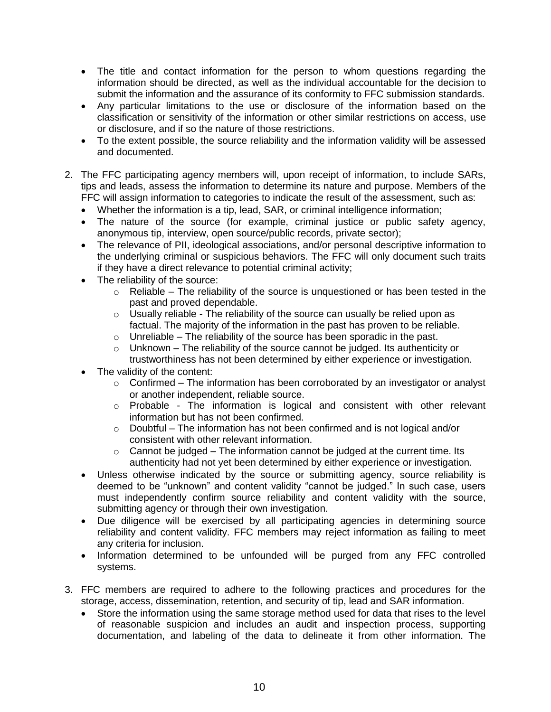- The title and contact information for the person to whom questions regarding the information should be directed, as well as the individual accountable for the decision to submit the information and the assurance of its conformity to FFC submission standards.
- Any particular limitations to the use or disclosure of the information based on the classification or sensitivity of the information or other similar restrictions on access, use or disclosure, and if so the nature of those restrictions.
- To the extent possible, the source reliability and the information validity will be assessed and documented.
- 2. The FFC participating agency members will, upon receipt of information, to include SARs, tips and leads, assess the information to determine its nature and purpose. Members of the FFC will assign information to categories to indicate the result of the assessment, such as:
	- Whether the information is a tip, lead, SAR, or criminal intelligence information;
	- The nature of the source (for example, criminal justice or public safety agency, anonymous tip, interview, open source/public records, private sector);
	- The relevance of PII, ideological associations, and/or personal descriptive information to the underlying criminal or suspicious behaviors. The FFC will only document such traits if they have a direct relevance to potential criminal activity;
	- The reliability of the source:
		- $\circ$  Reliable The reliability of the source is unquestioned or has been tested in the past and proved dependable.
		- $\circ$  Usually reliable The reliability of the source can usually be relied upon as factual. The majority of the information in the past has proven to be reliable.
		- $\circ$  Unreliable The reliability of the source has been sporadic in the past.
		- $\circ$  Unknown The reliability of the source cannot be judged. Its authenticity or trustworthiness has not been determined by either experience or investigation.
	- The validity of the content:
		- $\circ$  Confirmed The information has been corroborated by an investigator or analyst or another independent, reliable source.
		- o Probable The information is logical and consistent with other relevant information but has not been confirmed.
		- $\circ$  Doubtful The information has not been confirmed and is not logical and/or consistent with other relevant information.
		- $\circ$  Cannot be judged The information cannot be judged at the current time. Its authenticity had not yet been determined by either experience or investigation.
	- Unless otherwise indicated by the source or submitting agency, source reliability is deemed to be "unknown" and content validity "cannot be judged." In such case, users must independently confirm source reliability and content validity with the source, submitting agency or through their own investigation.
	- Due diligence will be exercised by all participating agencies in determining source reliability and content validity. FFC members may reject information as failing to meet any criteria for inclusion.
	- Information determined to be unfounded will be purged from any FFC controlled systems.
- 3. FFC members are required to adhere to the following practices and procedures for the storage, access, dissemination, retention, and security of tip, lead and SAR information.
	- Store the information using the same storage method used for data that rises to the level of reasonable suspicion and includes an audit and inspection process, supporting documentation, and labeling of the data to delineate it from other information. The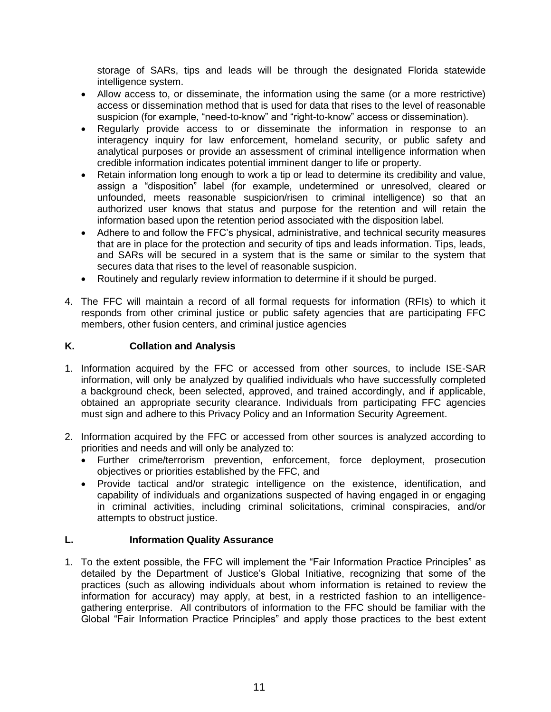storage of SARs, tips and leads will be through the designated Florida statewide intelligence system.

- Allow access to, or disseminate, the information using the same (or a more restrictive) access or dissemination method that is used for data that rises to the level of reasonable suspicion (for example, "need-to-know" and "right-to-know" access or dissemination).
- Regularly provide access to or disseminate the information in response to an interagency inquiry for law enforcement, homeland security, or public safety and analytical purposes or provide an assessment of criminal intelligence information when credible information indicates potential imminent danger to life or property.
- Retain information long enough to work a tip or lead to determine its credibility and value, assign a "disposition" label (for example, undetermined or unresolved, cleared or unfounded, meets reasonable suspicion/risen to criminal intelligence) so that an authorized user knows that status and purpose for the retention and will retain the information based upon the retention period associated with the disposition label.
- Adhere to and follow the FFC's physical, administrative, and technical security measures that are in place for the protection and security of tips and leads information. Tips, leads, and SARs will be secured in a system that is the same or similar to the system that secures data that rises to the level of reasonable suspicion.
- Routinely and regularly review information to determine if it should be purged.
- 4. The FFC will maintain a record of all formal requests for information (RFIs) to which it responds from other criminal justice or public safety agencies that are participating FFC members, other fusion centers, and criminal justice agencies

## <span id="page-10-0"></span>**K. Collation and Analysis**

- 1. Information acquired by the FFC or accessed from other sources, to include ISE-SAR information, will only be analyzed by qualified individuals who have successfully completed a background check, been selected, approved, and trained accordingly, and if applicable, obtained an appropriate security clearance. Individuals from participating FFC agencies must sign and adhere to this Privacy Policy and an Information Security Agreement.
- 2. Information acquired by the FFC or accessed from other sources is analyzed according to priorities and needs and will only be analyzed to:
	- Further crime/terrorism prevention, enforcement, force deployment, prosecution objectives or priorities established by the FFC, and
	- Provide tactical and/or strategic intelligence on the existence, identification, and capability of individuals and organizations suspected of having engaged in or engaging in criminal activities, including criminal solicitations, criminal conspiracies, and/or attempts to obstruct justice.

#### <span id="page-10-1"></span>**L. Information Quality Assurance**

1. To the extent possible, the FFC will implement the "Fair Information Practice Principles" as detailed by the Department of Justice's Global Initiative, recognizing that some of the practices (such as allowing individuals about whom information is retained to review the information for accuracy) may apply, at best, in a restricted fashion to an intelligencegathering enterprise. All contributors of information to the FFC should be familiar with the Global "Fair Information Practice Principles" and apply those practices to the best extent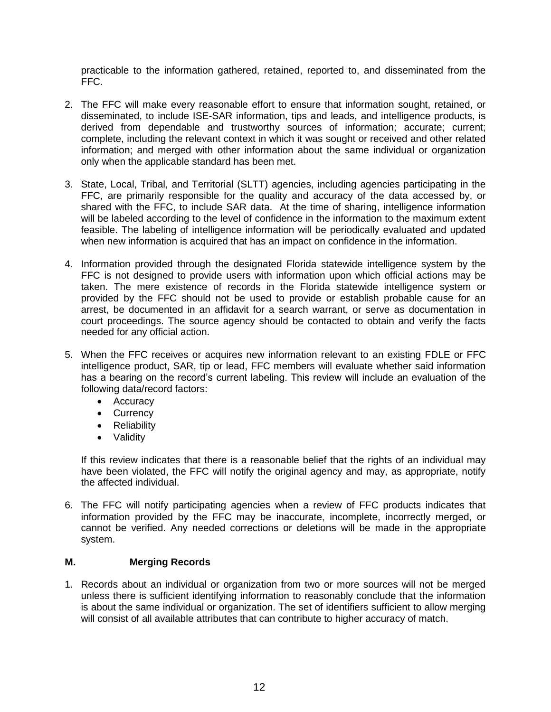practicable to the information gathered, retained, reported to, and disseminated from the FFC.

- 2. The FFC will make every reasonable effort to ensure that information sought, retained, or disseminated, to include ISE-SAR information, tips and leads, and intelligence products, is derived from dependable and trustworthy sources of information; accurate; current; complete, including the relevant context in which it was sought or received and other related information; and merged with other information about the same individual or organization only when the applicable standard has been met.
- 3. State, Local, Tribal, and Territorial (SLTT) agencies, including agencies participating in the FFC, are primarily responsible for the quality and accuracy of the data accessed by, or shared with the FFC, to include SAR data. At the time of sharing, intelligence information will be labeled according to the level of confidence in the information to the maximum extent feasible. The labeling of intelligence information will be periodically evaluated and updated when new information is acquired that has an impact on confidence in the information.
- 4. Information provided through the designated Florida statewide intelligence system by the FFC is not designed to provide users with information upon which official actions may be taken. The mere existence of records in the Florida statewide intelligence system or provided by the FFC should not be used to provide or establish probable cause for an arrest, be documented in an affidavit for a search warrant, or serve as documentation in court proceedings. The source agency should be contacted to obtain and verify the facts needed for any official action.
- 5. When the FFC receives or acquires new information relevant to an existing FDLE or FFC intelligence product, SAR, tip or lead, FFC members will evaluate whether said information has a bearing on the record's current labeling. This review will include an evaluation of the following data/record factors:
	- Accuracy
	- Currency
	- Reliability
	- Validity

If this review indicates that there is a reasonable belief that the rights of an individual may have been violated, the FFC will notify the original agency and may, as appropriate, notify the affected individual.

6. The FFC will notify participating agencies when a review of FFC products indicates that information provided by the FFC may be inaccurate, incomplete, incorrectly merged, or cannot be verified. Any needed corrections or deletions will be made in the appropriate system.

#### <span id="page-11-0"></span>**M. Merging Records**

1. Records about an individual or organization from two or more sources will not be merged unless there is sufficient identifying information to reasonably conclude that the information is about the same individual or organization. The set of identifiers sufficient to allow merging will consist of all available attributes that can contribute to higher accuracy of match.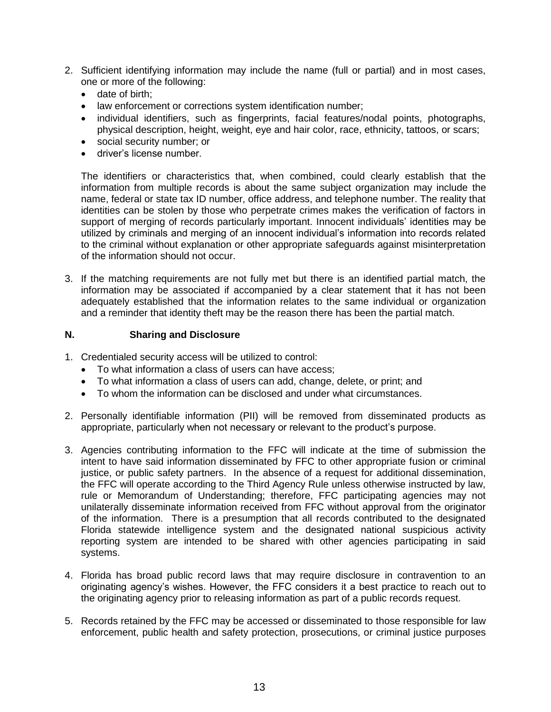- 2. Sufficient identifying information may include the name (full or partial) and in most cases, one or more of the following:
	- date of birth;
	- law enforcement or corrections system identification number;
	- individual identifiers, such as fingerprints, facial features/nodal points, photographs, physical description, height, weight, eye and hair color, race, ethnicity, tattoos, or scars;
	- social security number; or
	- driver's license number.

The identifiers or characteristics that, when combined, could clearly establish that the information from multiple records is about the same subject organization may include the name, federal or state tax ID number, office address, and telephone number. The reality that identities can be stolen by those who perpetrate crimes makes the verification of factors in support of merging of records particularly important. Innocent individuals' identities may be utilized by criminals and merging of an innocent individual's information into records related to the criminal without explanation or other appropriate safeguards against misinterpretation of the information should not occur.

3. If the matching requirements are not fully met but there is an identified partial match, the information may be associated if accompanied by a clear statement that it has not been adequately established that the information relates to the same individual or organization and a reminder that identity theft may be the reason there has been the partial match.

#### <span id="page-12-0"></span>**N. Sharing and Disclosure**

- 1. Credentialed security access will be utilized to control:
	- To what information a class of users can have access;
	- To what information a class of users can add, change, delete, or print; and
	- To whom the information can be disclosed and under what circumstances.
- 2. Personally identifiable information (PII) will be removed from disseminated products as appropriate, particularly when not necessary or relevant to the product's purpose.
- 3. Agencies contributing information to the FFC will indicate at the time of submission the intent to have said information disseminated by FFC to other appropriate fusion or criminal justice, or public safety partners. In the absence of a request for additional dissemination, the FFC will operate according to the Third Agency Rule unless otherwise instructed by law, rule or Memorandum of Understanding; therefore, FFC participating agencies may not unilaterally disseminate information received from FFC without approval from the originator of the information. There is a presumption that all records contributed to the designated Florida statewide intelligence system and the designated national suspicious activity reporting system are intended to be shared with other agencies participating in said systems.
- 4. Florida has broad public record laws that may require disclosure in contravention to an originating agency's wishes. However, the FFC considers it a best practice to reach out to the originating agency prior to releasing information as part of a public records request.
- 5. Records retained by the FFC may be accessed or disseminated to those responsible for law enforcement, public health and safety protection, prosecutions, or criminal justice purposes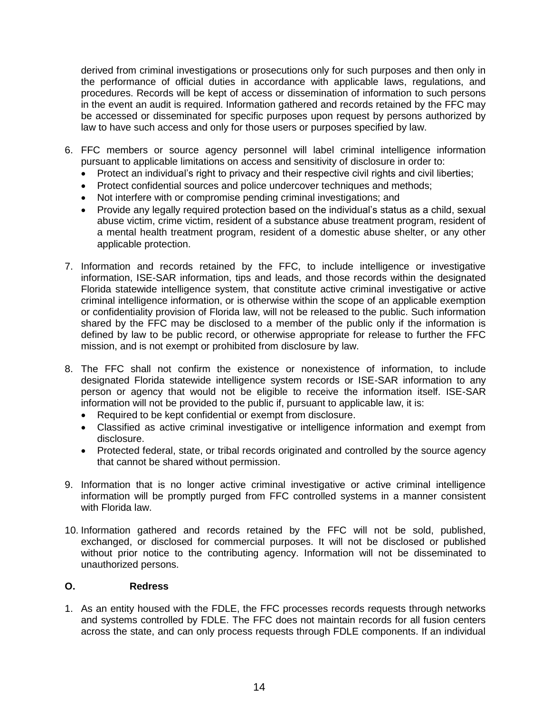derived from criminal investigations or prosecutions only for such purposes and then only in the performance of official duties in accordance with applicable laws, regulations, and procedures. Records will be kept of access or dissemination of information to such persons in the event an audit is required. Information gathered and records retained by the FFC may be accessed or disseminated for specific purposes upon request by persons authorized by law to have such access and only for those users or purposes specified by law.

- 6. FFC members or source agency personnel will label criminal intelligence information pursuant to applicable limitations on access and sensitivity of disclosure in order to:
	- Protect an individual's right to privacy and their respective civil rights and civil liberties;
	- Protect confidential sources and police undercover techniques and methods;
	- Not interfere with or compromise pending criminal investigations; and
	- Provide any legally required protection based on the individual's status as a child, sexual abuse victim, crime victim, resident of a substance abuse treatment program, resident of a mental health treatment program, resident of a domestic abuse shelter, or any other applicable protection.
- 7. Information and records retained by the FFC, to include intelligence or investigative information, ISE-SAR information, tips and leads, and those records within the designated Florida statewide intelligence system, that constitute active criminal investigative or active criminal intelligence information, or is otherwise within the scope of an applicable exemption or confidentiality provision of Florida law, will not be released to the public. Such information shared by the FFC may be disclosed to a member of the public only if the information is defined by law to be public record, or otherwise appropriate for release to further the FFC mission, and is not exempt or prohibited from disclosure by law.
- 8. The FFC shall not confirm the existence or nonexistence of information, to include designated Florida statewide intelligence system records or ISE-SAR information to any person or agency that would not be eligible to receive the information itself. ISE-SAR information will not be provided to the public if, pursuant to applicable law, it is:
	- Required to be kept confidential or exempt from disclosure.
	- Classified as active criminal investigative or intelligence information and exempt from disclosure.
	- Protected federal, state, or tribal records originated and controlled by the source agency that cannot be shared without permission.
- 9. Information that is no longer active criminal investigative or active criminal intelligence information will be promptly purged from FFC controlled systems in a manner consistent with Florida law.
- 10. Information gathered and records retained by the FFC will not be sold, published, exchanged, or disclosed for commercial purposes. It will not be disclosed or published without prior notice to the contributing agency. Information will not be disseminated to unauthorized persons.

#### <span id="page-13-0"></span>**O. Redress**

1. As an entity housed with the FDLE, the FFC processes records requests through networks and systems controlled by FDLE. The FFC does not maintain records for all fusion centers across the state, and can only process requests through FDLE components. If an individual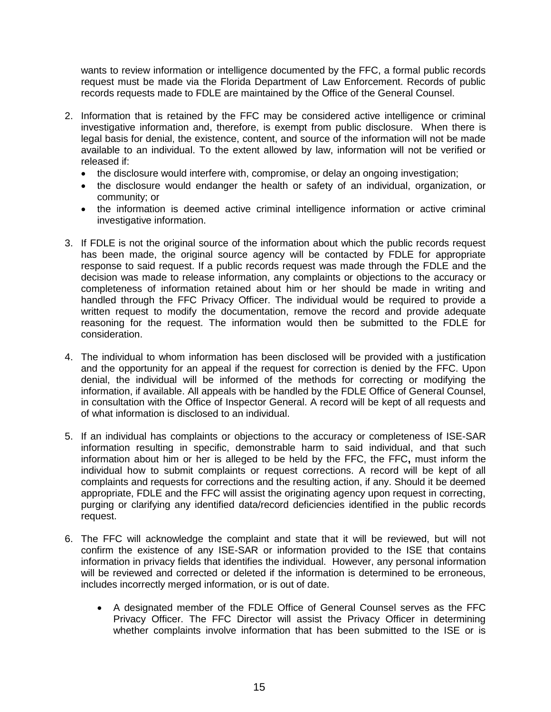wants to review information or intelligence documented by the FFC, a formal public records request must be made via the Florida Department of Law Enforcement. Records of public records requests made to FDLE are maintained by the Office of the General Counsel.

- 2. Information that is retained by the FFC may be considered active intelligence or criminal investigative information and, therefore, is exempt from public disclosure. When there is legal basis for denial, the existence, content, and source of the information will not be made available to an individual. To the extent allowed by law, information will not be verified or released if:
	- the disclosure would interfere with, compromise, or delay an ongoing investigation;
	- the disclosure would endanger the health or safety of an individual, organization, or community; or
	- the information is deemed active criminal intelligence information or active criminal investigative information.
- 3. If FDLE is not the original source of the information about which the public records request has been made, the original source agency will be contacted by FDLE for appropriate response to said request. If a public records request was made through the FDLE and the decision was made to release information, any complaints or objections to the accuracy or completeness of information retained about him or her should be made in writing and handled through the FFC Privacy Officer. The individual would be required to provide a written request to modify the documentation, remove the record and provide adequate reasoning for the request. The information would then be submitted to the FDLE for consideration.
- 4. The individual to whom information has been disclosed will be provided with a justification and the opportunity for an appeal if the request for correction is denied by the FFC. Upon denial, the individual will be informed of the methods for correcting or modifying the information, if available. All appeals with be handled by the FDLE Office of General Counsel, in consultation with the Office of Inspector General. A record will be kept of all requests and of what information is disclosed to an individual.
- 5. If an individual has complaints or objections to the accuracy or completeness of ISE-SAR information resulting in specific, demonstrable harm to said individual, and that such information about him or her is alleged to be held by the FFC, the FFC**,** must inform the individual how to submit complaints or request corrections. A record will be kept of all complaints and requests for corrections and the resulting action, if any. Should it be deemed appropriate, FDLE and the FFC will assist the originating agency upon request in correcting, purging or clarifying any identified data/record deficiencies identified in the public records request.
- 6. The FFC will acknowledge the complaint and state that it will be reviewed, but will not confirm the existence of any ISE-SAR or information provided to the ISE that contains information in privacy fields that identifies the individual. However, any personal information will be reviewed and corrected or deleted if the information is determined to be erroneous, includes incorrectly merged information, or is out of date.
	- A designated member of the FDLE Office of General Counsel serves as the FFC Privacy Officer. The FFC Director will assist the Privacy Officer in determining whether complaints involve information that has been submitted to the ISE or is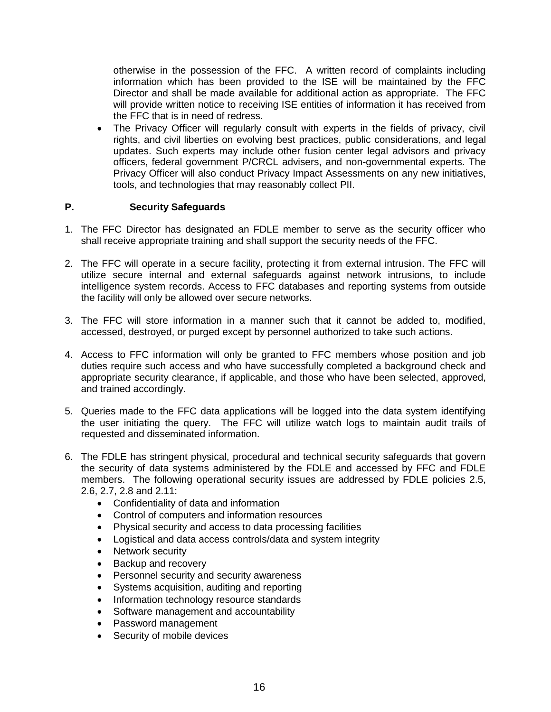otherwise in the possession of the FFC. A written record of complaints including information which has been provided to the ISE will be maintained by the FFC Director and shall be made available for additional action as appropriate. The FFC will provide written notice to receiving ISE entities of information it has received from the FFC that is in need of redress.

• The Privacy Officer will regularly consult with experts in the fields of privacy, civil rights, and civil liberties on evolving best practices, public considerations, and legal updates. Such experts may include other fusion center legal advisors and privacy officers, federal government P/CRCL advisers, and non-governmental experts. The Privacy Officer will also conduct Privacy Impact Assessments on any new initiatives, tools, and technologies that may reasonably collect PII.

## <span id="page-15-0"></span>**P. Security Safeguards**

- 1. The FFC Director has designated an FDLE member to serve as the security officer who shall receive appropriate training and shall support the security needs of the FFC.
- 2. The FFC will operate in a secure facility, protecting it from external intrusion. The FFC will utilize secure internal and external safeguards against network intrusions, to include intelligence system records. Access to FFC databases and reporting systems from outside the facility will only be allowed over secure networks.
- 3. The FFC will store information in a manner such that it cannot be added to, modified, accessed, destroyed, or purged except by personnel authorized to take such actions.
- 4. Access to FFC information will only be granted to FFC members whose position and job duties require such access and who have successfully completed a background check and appropriate security clearance, if applicable, and those who have been selected, approved, and trained accordingly.
- 5. Queries made to the FFC data applications will be logged into the data system identifying the user initiating the query. The FFC will utilize watch logs to maintain audit trails of requested and disseminated information.
- 6. The FDLE has stringent physical, procedural and technical security safeguards that govern the security of data systems administered by the FDLE and accessed by FFC and FDLE members. The following operational security issues are addressed by FDLE policies 2.5, 2.6, 2.7, 2.8 and 2.11:
	- Confidentiality of data and information
	- Control of computers and information resources
	- Physical security and access to data processing facilities
	- Logistical and data access controls/data and system integrity
	- Network security
	- Backup and recovery
	- Personnel security and security awareness
	- Systems acquisition, auditing and reporting
	- Information technology resource standards
	- Software management and accountability
	- Password management
	- Security of mobile devices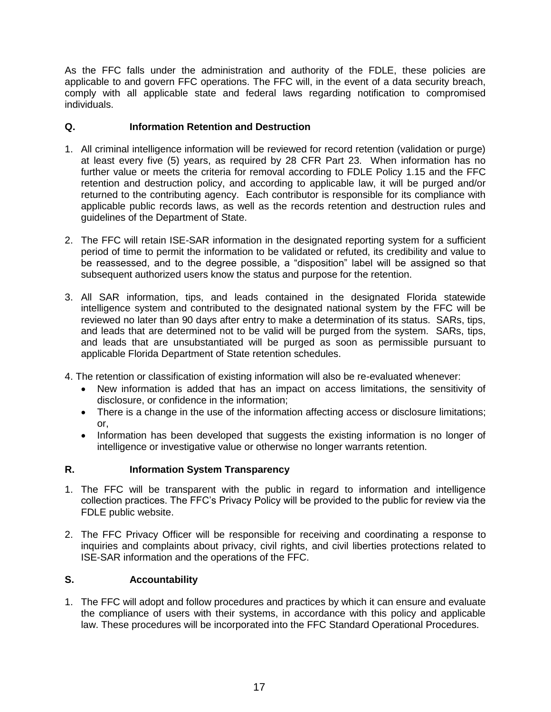As the FFC falls under the administration and authority of the FDLE, these policies are applicable to and govern FFC operations. The FFC will, in the event of a data security breach, comply with all applicable state and federal laws regarding notification to compromised individuals.

# <span id="page-16-0"></span>**Q. Information Retention and Destruction**

- 1. All criminal intelligence information will be reviewed for record retention (validation or purge) at least every five (5) years, as required by 28 CFR Part 23. When information has no further value or meets the criteria for removal according to FDLE Policy 1.15 and the FFC retention and destruction policy, and according to applicable law, it will be purged and/or returned to the contributing agency. Each contributor is responsible for its compliance with applicable public records laws, as well as the records retention and destruction rules and guidelines of the Department of State.
- 2. The FFC will retain ISE-SAR information in the designated reporting system for a sufficient period of time to permit the information to be validated or refuted, its credibility and value to be reassessed, and to the degree possible, a "disposition" label will be assigned so that subsequent authorized users know the status and purpose for the retention.
- 3. All SAR information, tips, and leads contained in the designated Florida statewide intelligence system and contributed to the designated national system by the FFC will be reviewed no later than 90 days after entry to make a determination of its status. SARs, tips, and leads that are determined not to be valid will be purged from the system. SARs, tips, and leads that are unsubstantiated will be purged as soon as permissible pursuant to applicable Florida Department of State retention schedules.
- 4. The retention or classification of existing information will also be re-evaluated whenever:
	- New information is added that has an impact on access limitations, the sensitivity of disclosure, or confidence in the information;
	- There is a change in the use of the information affecting access or disclosure limitations; or,
	- Information has been developed that suggests the existing information is no longer of intelligence or investigative value or otherwise no longer warrants retention.

# **R. Information System Transparency**

- 1. The FFC will be transparent with the public in regard to information and intelligence collection practices. The FFC's Privacy Policy will be provided to the public for review via the FDLE public website.
- 2. The FFC Privacy Officer will be responsible for receiving and coordinating a response to inquiries and complaints about privacy, civil rights, and civil liberties protections related to ISE-SAR information and the operations of the FFC.

# <span id="page-16-1"></span>**S. Accountability**

1. The FFC will adopt and follow procedures and practices by which it can ensure and evaluate the compliance of users with their systems, in accordance with this policy and applicable law. These procedures will be incorporated into the FFC Standard Operational Procedures.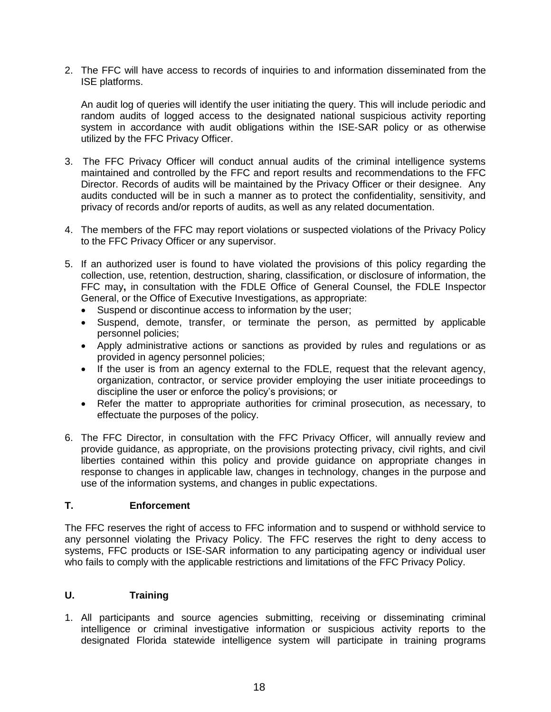2. The FFC will have access to records of inquiries to and information disseminated from the ISE platforms.

An audit log of queries will identify the user initiating the query. This will include periodic and random audits of logged access to the designated national suspicious activity reporting system in accordance with audit obligations within the ISE-SAR policy or as otherwise utilized by the FFC Privacy Officer.

- 3. The FFC Privacy Officer will conduct annual audits of the criminal intelligence systems maintained and controlled by the FFC and report results and recommendations to the FFC Director. Records of audits will be maintained by the Privacy Officer or their designee. Any audits conducted will be in such a manner as to protect the confidentiality, sensitivity, and privacy of records and/or reports of audits, as well as any related documentation.
- 4. The members of the FFC may report violations or suspected violations of the Privacy Policy to the FFC Privacy Officer or any supervisor.
- 5. If an authorized user is found to have violated the provisions of this policy regarding the collection, use, retention, destruction, sharing, classification, or disclosure of information, the FFC may**,** in consultation with the FDLE Office of General Counsel, the FDLE Inspector General, or the Office of Executive Investigations, as appropriate:
	- Suspend or discontinue access to information by the user;
	- Suspend, demote, transfer, or terminate the person, as permitted by applicable personnel policies;
	- Apply administrative actions or sanctions as provided by rules and regulations or as provided in agency personnel policies;
	- If the user is from an agency external to the FDLE, request that the relevant agency, organization, contractor, or service provider employing the user initiate proceedings to discipline the user or enforce the policy's provisions; or
	- Refer the matter to appropriate authorities for criminal prosecution, as necessary, to effectuate the purposes of the policy.
- 6. The FFC Director, in consultation with the FFC Privacy Officer, will annually review and provide guidance, as appropriate, on the provisions protecting privacy, civil rights, and civil liberties contained within this policy and provide guidance on appropriate changes in response to changes in applicable law, changes in technology, changes in the purpose and use of the information systems, and changes in public expectations.

#### <span id="page-17-0"></span>**T. Enforcement**

The FFC reserves the right of access to FFC information and to suspend or withhold service to any personnel violating the Privacy Policy. The FFC reserves the right to deny access to systems, FFC products or ISE-SAR information to any participating agency or individual user who fails to comply with the applicable restrictions and limitations of the FFC Privacy Policy.

## <span id="page-17-1"></span>**U. Training**

1. All participants and source agencies submitting, receiving or disseminating criminal intelligence or criminal investigative information or suspicious activity reports to the designated Florida statewide intelligence system will participate in training programs